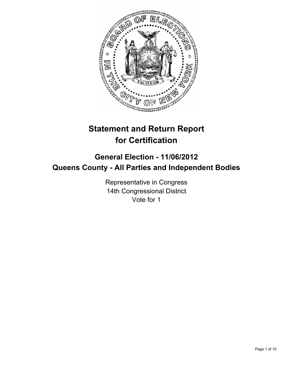

# **Statement and Return Report for Certification**

# **General Election - 11/06/2012 Queens County - All Parties and Independent Bodies**

Representative in Congress 14th Congressional District Vote for 1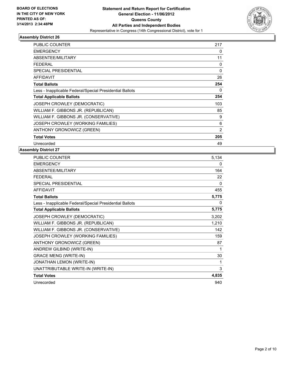

| <b>PUBLIC COUNTER</b>                                    | 217            |
|----------------------------------------------------------|----------------|
| <b>EMERGENCY</b>                                         | 0              |
| ABSENTEE/MILITARY                                        | 11             |
| <b>FEDERAL</b>                                           | $\Omega$       |
| <b>SPECIAL PRESIDENTIAL</b>                              | 0              |
| AFFIDAVIT                                                | 26             |
| <b>Total Ballots</b>                                     | 254            |
| Less - Inapplicable Federal/Special Presidential Ballots | 0              |
| <b>Total Applicable Ballots</b>                          | 254            |
| JOSEPH CROWLEY (DEMOCRATIC)                              | 103            |
| WILLIAM F. GIBBONS JR. (REPUBLICAN)                      | 85             |
| WILLIAM F. GIBBONS JR. (CONSERVATIVE)                    | 9              |
| JOSEPH CROWLEY (WORKING FAMILIES)                        | 6              |
| ANTHONY GRONOWICZ (GREEN)                                | $\overline{2}$ |
| <b>Total Votes</b>                                       | 205            |
| Unrecorded                                               | 49             |

| <b>PUBLIC COUNTER</b>                                    | 5,134        |
|----------------------------------------------------------|--------------|
| <b>EMERGENCY</b>                                         | 0            |
| <b>ABSENTEE/MILITARY</b>                                 | 164          |
| <b>FEDERAL</b>                                           | 22           |
| <b>SPECIAL PRESIDENTIAL</b>                              | $\mathbf{0}$ |
| <b>AFFIDAVIT</b>                                         | 455          |
| <b>Total Ballots</b>                                     | 5,775        |
| Less - Inapplicable Federal/Special Presidential Ballots | 0            |
| <b>Total Applicable Ballots</b>                          | 5,775        |
| JOSEPH CROWLEY (DEMOCRATIC)                              | 3,202        |
| WILLIAM F. GIBBONS JR. (REPUBLICAN)                      | 1,210        |
| WILLIAM F. GIBBONS JR. (CONSERVATIVE)                    | 142          |
| JOSEPH CROWLEY (WORKING FAMILIES)                        | 159          |
| ANTHONY GRONOWICZ (GREEN)                                | 87           |
| ANDREW GILBIND (WRITE-IN)                                | 1            |
| <b>GRACE MENG (WRITE-IN)</b>                             | 30           |
| JONATHAN LEMON (WRITE-IN)                                |              |
| UNATTRIBUTABLE WRITE-IN (WRITE-IN)                       | 3            |
| <b>Total Votes</b>                                       | 4,835        |
| Unrecorded                                               | 940          |
|                                                          |              |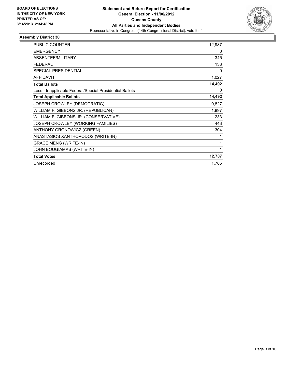

| <b>PUBLIC COUNTER</b>                                    | 12,987 |
|----------------------------------------------------------|--------|
| <b>EMERGENCY</b>                                         | 0      |
| <b>ABSENTEE/MILITARY</b>                                 | 345    |
| <b>FEDERAL</b>                                           | 133    |
| <b>SPECIAL PRESIDENTIAL</b>                              | 0      |
| <b>AFFIDAVIT</b>                                         | 1,027  |
| <b>Total Ballots</b>                                     | 14,492 |
| Less - Inapplicable Federal/Special Presidential Ballots | 0      |
| <b>Total Applicable Ballots</b>                          | 14,492 |
| JOSEPH CROWLEY (DEMOCRATIC)                              | 9,827  |
| WILLIAM F. GIBBONS JR. (REPUBLICAN)                      | 1,897  |
| WILLIAM F. GIBBONS JR. (CONSERVATIVE)                    | 233    |
| JOSEPH CROWLEY (WORKING FAMILIES)                        | 443    |
| ANTHONY GRONOWICZ (GREEN)                                | 304    |
| ANASTASIOS XANTHOPODOS (WRITE-IN)                        | 1      |
| <b>GRACE MENG (WRITE-IN)</b>                             | 1      |
| JOHN BOUGIAMAS (WRITE-IN)                                | 1      |
| <b>Total Votes</b>                                       | 12,707 |
| Unrecorded                                               | 1,785  |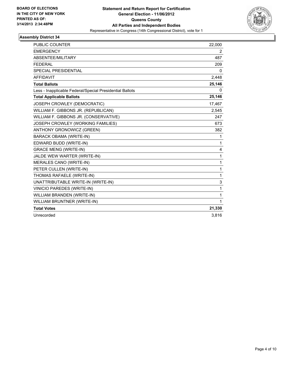

| <b>PUBLIC COUNTER</b>                                    | 22,000       |
|----------------------------------------------------------|--------------|
| <b>EMERGENCY</b>                                         | 2            |
| ABSENTEE/MILITARY                                        | 487          |
| <b>FEDERAL</b>                                           | 209          |
| <b>SPECIAL PRESIDENTIAL</b>                              | 0            |
| <b>AFFIDAVIT</b>                                         | 2,448        |
| <b>Total Ballots</b>                                     | 25,146       |
| Less - Inapplicable Federal/Special Presidential Ballots | 0            |
| <b>Total Applicable Ballots</b>                          | 25,146       |
| JOSEPH CROWLEY (DEMOCRATIC)                              | 17,467       |
| WILLIAM F. GIBBONS JR. (REPUBLICAN)                      | 2.545        |
| WILLIAM F. GIBBONS JR. (CONSERVATIVE)                    | 247          |
| JOSEPH CROWLEY (WORKING FAMILIES)                        | 673          |
| <b>ANTHONY GRONOWICZ (GREEN)</b>                         | 382          |
| <b>BARACK OBAMA (WRITE-IN)</b>                           | 1            |
| EDWARD BUDD (WRITE-IN)                                   | 1            |
| <b>GRACE MENG (WRITE-IN)</b>                             | 4            |
| JALDE WEW WARTER (WRITE-IN)                              | 1            |
| MERALES CANO (WRITE-IN)                                  | $\mathbf{1}$ |
| PETER CULLEN (WRITE-IN)                                  | $\mathbf 1$  |
| THOMAS RAFAELE (WRITE-IN)                                | 1            |
| UNATTRIBUTABLE WRITE-IN (WRITE-IN)                       | 3            |
| VINICIO PAREDES (WRITE-IN)                               | 1            |
| WILLIAM BRANDEN (WRITE-IN)                               | 1            |
| WILLIAM BRUNTNER (WRITE-IN)                              | $\mathbf{1}$ |
| <b>Total Votes</b>                                       | 21,330       |
| Unrecorded                                               | 3,816        |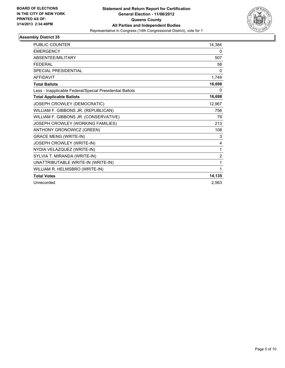

| <b>PUBLIC COUNTER</b>                                    | 14,384         |
|----------------------------------------------------------|----------------|
| <b>EMERGENCY</b>                                         | 0              |
| ABSENTEE/MILITARY                                        | 507            |
| <b>FEDERAL</b>                                           | 58             |
| SPECIAL PRESIDENTIAL                                     | 0              |
| <b>AFFIDAVIT</b>                                         | 1,749          |
| <b>Total Ballots</b>                                     | 16,698         |
| Less - Inapplicable Federal/Special Presidential Ballots | 0              |
| <b>Total Applicable Ballots</b>                          | 16,698         |
| JOSEPH CROWLEY (DEMOCRATIC)                              | 12,967         |
| WILLIAM F. GIBBONS JR. (REPUBLICAN)                      | 756            |
| WILLIAM F. GIBBONS JR. (CONSERVATIVE)                    | 79             |
| JOSEPH CROWLEY (WORKING FAMILIES)                        | 213            |
| ANTHONY GRONOWICZ (GREEN)                                | 108            |
| <b>GRACE MENG (WRITE-IN)</b>                             | 3              |
| JOSEPH CROWLEY (WRITE-IN)                                | $\overline{4}$ |
| NYDIA VELAZQUEZ (WRITE-IN)                               | 1              |
| SYLVIA T. MIRANDA (WRITE-IN)                             | $\overline{2}$ |
| UNATTRIBUTABLE WRITE-IN (WRITE-IN)                       | 1              |
| WILLIAM R. HELMSBRO (WRITE-IN)                           | 1              |
| <b>Total Votes</b>                                       | 14,135         |
| Unrecorded                                               | 2,563          |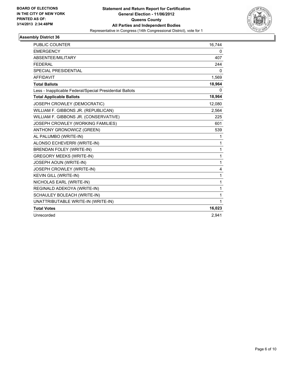

| PUBLIC COUNTER                                           | 16,744       |
|----------------------------------------------------------|--------------|
| <b>EMERGENCY</b>                                         | 0            |
| ABSENTEE/MILITARY                                        | 407          |
| <b>FEDERAL</b>                                           | 244          |
| SPECIAL PRESIDENTIAL                                     | 0            |
| <b>AFFIDAVIT</b>                                         | 1,569        |
| <b>Total Ballots</b>                                     | 18,964       |
| Less - Inapplicable Federal/Special Presidential Ballots | 0            |
| <b>Total Applicable Ballots</b>                          | 18,964       |
| JOSEPH CROWLEY (DEMOCRATIC)                              | 12,080       |
| WILLIAM F. GIBBONS JR. (REPUBLICAN)                      | 2.564        |
| WILLIAM F. GIBBONS JR. (CONSERVATIVE)                    | 225          |
| JOSEPH CROWLEY (WORKING FAMILIES)                        | 601          |
| ANTHONY GRONOWICZ (GREEN)                                | 539          |
| AL PALUMBO (WRITE-IN)                                    | 1            |
| ALONSO ECHEVERRI (WRITE-IN)                              | 1            |
| <b>BRENDAN FOLEY (WRITE-IN)</b>                          | $\mathbf{1}$ |
| <b>GREGORY MEEKS (WRITE-IN)</b>                          | $\mathbf{1}$ |
| JOSEPH AOUN (WRITE-IN)                                   | $\mathbf{1}$ |
| JOSEPH CROWLEY (WRITE-IN)                                | 4            |
| KEVIN GILL (WRITE-IN)                                    | 1            |
| NICHOLAS EARL (WRITE-IN)                                 | 1            |
| REGINALD ADEKOYA (WRITE-IN)                              | 1            |
| SCHAULEY BOLEACH (WRITE-IN)                              | 1            |
| UNATTRIBUTABLE WRITE-IN (WRITE-IN)                       | 1            |
| <b>Total Votes</b>                                       | 16,023       |
| Unrecorded                                               | 2.941        |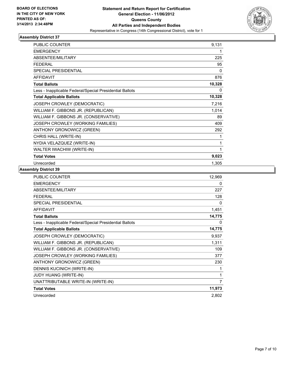

| <b>PUBLIC COUNTER</b>                                    | 9,131  |
|----------------------------------------------------------|--------|
| <b>EMERGENCY</b>                                         | 1      |
| <b>ABSENTEE/MILITARY</b>                                 | 225    |
| <b>FEDERAL</b>                                           | 95     |
| <b>SPECIAL PRESIDENTIAL</b>                              | 0      |
| <b>AFFIDAVIT</b>                                         | 876    |
| <b>Total Ballots</b>                                     | 10,328 |
| Less - Inapplicable Federal/Special Presidential Ballots | 0      |
| <b>Total Applicable Ballots</b>                          | 10,328 |
| JOSEPH CROWLEY (DEMOCRATIC)                              | 7,216  |
| WILLIAM F. GIBBONS JR. (REPUBLICAN)                      | 1,014  |
| WILLIAM F. GIBBONS JR. (CONSERVATIVE)                    | 89     |
| JOSEPH CROWLEY (WORKING FAMILIES)                        | 409    |
| ANTHONY GRONOWICZ (GREEN)                                | 292    |
| CHRIS HALL (WRITE-IN)                                    | 1      |
| NYDIA VELAZQUEZ (WRITE-IN)                               | 1      |
| WALTER IWACHIW (WRITE-IN)                                | 1      |
| <b>Total Votes</b>                                       | 9,023  |
| Unrecorded                                               | 1,305  |

| 12,969 |
|--------|
| 0      |
| 227    |
| 128    |
| 0      |
| 1,451  |
| 14,775 |
| 0      |
| 14,775 |
| 9,937  |
| 1,311  |
| 109    |
| 377    |
| 230    |
| 1      |
| 1      |
| 7      |
| 11,973 |
| 2,802  |
|        |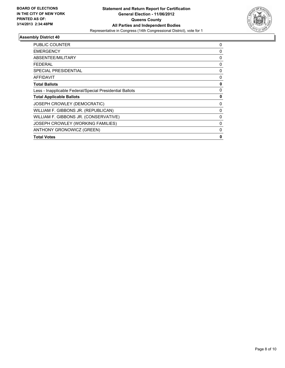

| <b>PUBLIC COUNTER</b>                                    | 0           |
|----------------------------------------------------------|-------------|
| <b>EMERGENCY</b>                                         | 0           |
| ABSENTEE/MILITARY                                        | 0           |
| <b>FEDERAL</b>                                           | 0           |
| SPECIAL PRESIDENTIAL                                     | $\mathbf 0$ |
| AFFIDAVIT                                                | 0           |
| <b>Total Ballots</b>                                     | 0           |
| Less - Inapplicable Federal/Special Presidential Ballots | 0           |
| <b>Total Applicable Ballots</b>                          | 0           |
| JOSEPH CROWLEY (DEMOCRATIC)                              | 0           |
| WILLIAM F. GIBBONS JR. (REPUBLICAN)                      | 0           |
| WILLIAM F. GIBBONS JR. (CONSERVATIVE)                    | 0           |
| JOSEPH CROWLEY (WORKING FAMILIES)                        | $\Omega$    |
| ANTHONY GRONOWICZ (GREEN)                                | 0           |
| <b>Total Votes</b>                                       | 0           |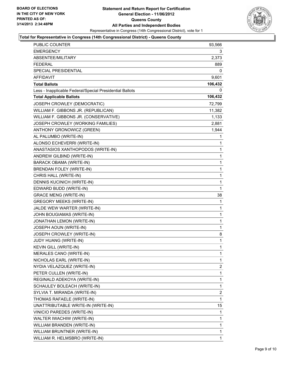

#### **Total for Representative in Congress (14th Congressional District) - Queens County**

| PUBLIC COUNTER                                           | 93,566       |
|----------------------------------------------------------|--------------|
| <b>EMERGENCY</b>                                         | 3.           |
| ABSENTEE/MILITARY                                        | 2,373        |
| <b>FEDERAL</b>                                           | 889          |
| <b>SPECIAL PRESIDENTIAL</b>                              | 0            |
| <b>AFFIDAVIT</b>                                         | 9,601        |
| <b>Total Ballots</b>                                     | 106,432      |
| Less - Inapplicable Federal/Special Presidential Ballots | $\Omega$     |
| <b>Total Applicable Ballots</b>                          | 106,432      |
| JOSEPH CROWLEY (DEMOCRATIC)                              | 72,799       |
| WILLIAM F. GIBBONS JR. (REPUBLICAN)                      | 11,382       |
| WILLIAM F. GIBBONS JR. (CONSERVATIVE)                    | 1,133        |
| JOSEPH CROWLEY (WORKING FAMILIES)                        | 2,881        |
| ANTHONY GRONOWICZ (GREEN)                                | 1,944        |
| AL PALUMBO (WRITE-IN)                                    | 1            |
| ALONSO ECHEVERRI (WRITE-IN)                              | $\mathbf{1}$ |
| ANASTASIOS XANTHOPODOS (WRITE-IN)                        | 1            |
| ANDREW GILBIND (WRITE-IN)                                | 1            |
| <b>BARACK OBAMA (WRITE-IN)</b>                           | 1            |
| <b>BRENDAN FOLEY (WRITE-IN)</b>                          | 1            |
| CHRIS HALL (WRITE-IN)                                    | 1            |
| DENNIS KUCINICH (WRITE-IN)                               | $\mathbf{1}$ |
| EDWARD BUDD (WRITE-IN)                                   | 1            |
| <b>GRACE MENG (WRITE-IN)</b>                             | 38           |
| <b>GREGORY MEEKS (WRITE-IN)</b>                          | 1            |
| JALDE WEW WARTER (WRITE-IN)                              | 1            |
| JOHN BOUGIAMAS (WRITE-IN)                                | 1            |
| JONATHAN LEMON (WRITE-IN)                                | 1            |
| JOSEPH AOUN (WRITE-IN)                                   | 1            |
| JOSEPH CROWLEY (WRITE-IN)                                | 8            |
| JUDY HUANG (WRITE-IN)                                    | $\mathbf{1}$ |
| KEVIN GILL (WRITE-IN)                                    | 1            |
| MERALES CANO (WRITE-IN)                                  | 1            |
| NICHOLAS EARL (WRITE-IN)                                 | 1            |
| NYDIA VELAZQUEZ (WRITE-IN)                               | 2            |
| PETER CULLEN (WRITE-IN)                                  | 1            |
| REGINALD ADEKOYA (WRITE-IN)                              | 1            |
| SCHAULEY BOLEACH (WRITE-IN)                              | 1            |
| SYLVIA T. MIRANDA (WRITE-IN)                             | 2            |
| THOMAS RAFAELE (WRITE-IN)                                | 1            |
| UNATTRIBUTABLE WRITE-IN (WRITE-IN)                       | 15           |
| VINICIO PAREDES (WRITE-IN)                               | 1            |
| WALTER IWACHIW (WRITE-IN)                                | 1            |
| WILLIAM BRANDEN (WRITE-IN)                               | 1            |
| WILLIAM BRUNTNER (WRITE-IN)                              | $\mathbf 1$  |
| WILLIAM R. HELMSBRO (WRITE-IN)                           | $\mathbf{1}$ |